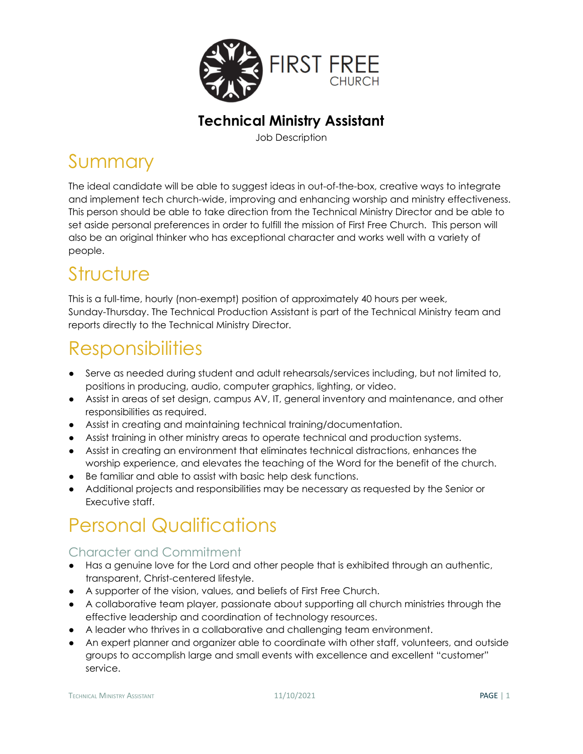

#### **Technical Ministry Assistant**

Job Description

#### Summary

The ideal candidate will be able to suggest ideas in out-of-the-box, creative ways to integrate and implement tech church-wide, improving and enhancing worship and ministry effectiveness. This person should be able to take direction from the Technical Ministry Director and be able to set aside personal preferences in order to fulfill the mission of First Free Church. This person will also be an original thinker who has exceptional character and works well with a variety of people.

### **Structure**

This is a full-time, hourly (non-exempt) position of approximately 40 hours per week, Sunday-Thursday. The Technical Production Assistant is part of the Technical Ministry team and reports directly to the Technical Ministry Director.

## **Responsibilities**

- Serve as needed during student and adult rehearsals/services including, but not limited to, positions in producing, audio, computer graphics, lighting, or video.
- Assist in areas of set design, campus AV, IT, general inventory and maintenance, and other responsibilities as required.
- Assist in creating and maintaining technical training/documentation.
- Assist training in other ministry areas to operate technical and production systems.
- Assist in creating an environment that eliminates technical distractions, enhances the worship experience, and elevates the teaching of the Word for the benefit of the church.
- Be familiar and able to assist with basic help desk functions.
- Additional projects and responsibilities may be necessary as requested by the Senior or Executive staff.

# Personal Qualifications

#### Character and Commitment

- Has a genuine love for the Lord and other people that is exhibited through an authentic, transparent, Christ-centered lifestyle.
- A supporter of the vision, values, and beliefs of First Free Church.
- A collaborative team player, passionate about supporting all church ministries through the effective leadership and coordination of technology resources.
- A leader who thrives in a collaborative and challenging team environment.
- An expert planner and organizer able to coordinate with other staff, volunteers, and outside groups to accomplish large and small events with excellence and excellent "customer" service.